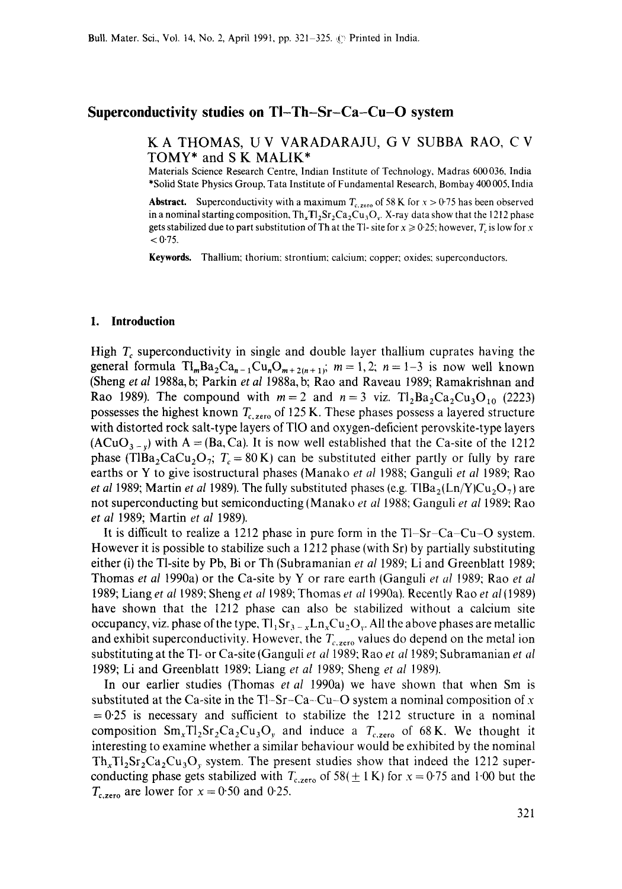### **Superconductivity studies on TI-Th-Sr-Ca-Cu-O system**

# K A THOMAS, U V VARADARAJU, G V SUBBA RAO, C V TOMY\* and S K MALIK\*

Materials Science Research Centre, Indian Institute of Technology, Madras 600036, India \*Solid State Physics Group, Tata Institute of Fundamental Research, Bombay 400 005, India

**Abstract.** Superconductivity with a maximum  $T_{c,\text{zero}}$  of 58 K for  $x > 0.75$  has been observed in a nominal starting composition,  $Th_xT1_2Sr_2Ca_2Cu_3O_v$ . X-ray data show that the 1212 phase gets stabilized due to part substitution of Th at the Tl- site for  $x \ge 0.25$ ; however,  $T_c$  is low for x  $< 0.75$ .

Keywords. Thallium; thorium: strontium: calcium: copper: oxides: superconductors.

#### **1. Introduction**

High  $T_c$  superconductivity in single and double layer thallium cuprates having the general formula  $\text{TI}_m \text{Ba}_2 \text{Ca}_{n-1} \text{Cu}_n \text{O}_{m+2(n+1)}$ ;  $m = 1,2; n = 1-3$  is now well known (Sheng *et al* 1988a, b; Parkin *et al* 1988a, b; Rao and Raveau 1989; Ramakrishnan and Rao 1989). The compound with  $m = 2$  and  $n = 3$  viz. Tl<sub>2</sub>Ba<sub>2</sub>Ca<sub>2</sub>Cu<sub>3</sub>O<sub>10</sub> (2223) possesses the highest known  $T_{c,\text{zero}}$  of 125 K. These phases possess a layered structure with distorted rock salt-type layers of T10 and oxygen-deficient perovskite-type layers  $(ACuO_{3-x})$  with A = (Ba, Ca). It is now well established that the Ca-site of the 1212 phase (TIBa<sub>2</sub>CaCu<sub>2</sub>O<sub>7</sub>;  $T_c = 80$ K) can be substituted either partly or fully by rare earths or Y to give isostructural phases (Manako *et al* 1988; Ganguli *et al* 1989; Rao *et al 1989*; Martin *et al 1989*). The fully substituted phases (e.g. TIBa<sub>2</sub>(Ln/Y)Cu<sub>2</sub>O<sub>7</sub>) are not superconducting but semiconducting (Manako *et al* 1988; Ganguli *et al* 1989: Rao *et al* 1989; Martin *et al* 1989).

It is difficult to realize a 1212 phase in pure form in the  $T1-Sr-Ca-Cu-O$  system. However it is possible to stabilize such a 1212 phase (with Sr) by partially substituting either (i) the Tl-site by Pb, Bi or Th (Subramanian *et al* 1989; Li and Greenblatt 1989; Thomas *et al* 1990a) or the Ca-site by Y or rare earth (Ganguli *et al* 1989; Rao *et al*  1989; Liang *et al* 1989; Sheng *et al* 1989; Thomas *et at* 1990a). Recently Rao *et al* (1989) have shown that the 1212 phase can also be stabilized without a calcium site occupancy, viz. phase of the type,  $T_1Sr_{3-x}Ln_xCu_2O_y$ . All the above phases are metallic and exhibit superconductivity. However, the  $T_{c, zero}$  values do depend on the metal ion substituting at the T1- or Ca-site (Ganguli *et al* 1989: Rao et *al* 1989; Subramanian *et al*  1989; Li and Greenblatt 1989: Liang *et al* 1989; Sheng *et al* 1989).

In our earlier studies (Thomas *et al* 1990a) we have shown that when Sm is substituted at the Ca-site in the Tl–Sr–Ca–Cu–O system a nominal composition of x  $=0.25$  is necessary and sufficient to stabilize the 1212 structure in a nominal composition  $\text{Sm}_x \text{T}_1 \text{Sr}_2 \text{Ca}_2 \text{Cu}_3 \text{O}_y$  and induce a  $T_{c,\text{zero}}$  of 68 K. We thought it interesting to examine whether a similar behaviour would be exhibited by the nominal  $Th<sub>x</sub>TI<sub>2</sub>Sr<sub>2</sub>Ca<sub>2</sub>Cu<sub>3</sub>O<sub>y</sub>$  system. The present studies show that indeed the 1212 superconducting phase gets stabilized with  $T_{c,\text{zero}}$  of 58( $\pm$  1 K) for  $x = 0.75$  and 1.00 but the  $T_{c,zero}$  are lower for  $x = 0.50$  and 0.25.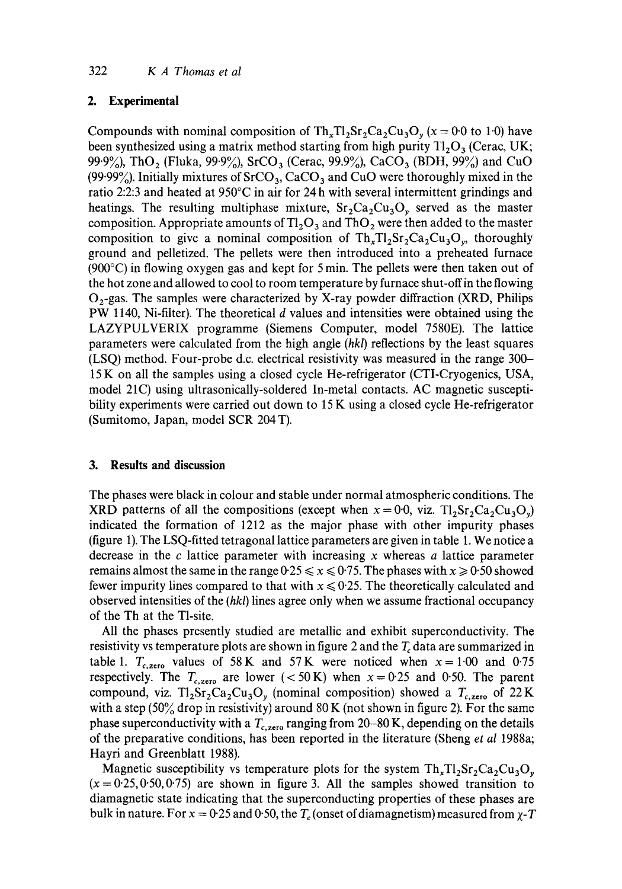# **2. Experimental**

Compounds with nominal composition of  $Th_xT1_2Sr_2Ca_2Cu_3O_y$  (x = 0.0 to 1.0) have been synthesized using a matrix method starting from high purity  $T_{12}O_3$  (Cerac, UK; 99.9%), ThO<sub>2</sub> (Fluka, 99.9%), SrCO<sub>3</sub> (Cerac, 99.9%), CaCO<sub>3</sub> (BDH, 99%) and CuO (99.99%). Initially mixtures of  $S<sub>1</sub>CO<sub>3</sub>$ , CaCO<sub>3</sub> and CuO were thoroughly mixed in the ratio 2:2:3 and heated at 950°C in air for 24 h with several intermittent grindings and heatings. The resulting multiphase mixture,  $Sr_2Ca_2Cu_3O_v$  served as the master composition. Appropriate amounts of  $T_2O_3$  and ThO<sub>2</sub> were then added to the master composition to give a nominal composition of  $Th_xT_1Sr_2Ca_2Cu_3O_y$ , thoroughly ground and pelletized. The pellets were then introduced into a preheated furnace (900°C) in flowing oxygen gas and kept for 5 min. The pellets were then taken out of the hot zone and allowed to cool to room temperature by furnace shut-offin the flowing  $O<sub>2</sub>$ -gas. The samples were characterized by X-ray powder diffraction (XRD, Philips PW 1140, Ni-filter). The theoretical d values and intensities were obtained using the LAZYPULVERIX programme (Siemens Computer, model 7580E). The lattice parameters were calculated from the high angle *(hkl)* reflections by the least squares (LSQ) method. Four-probe d.c. electrical resistivity was measured in the range 300- 15 K on all the samples using a closed cycle He-refrigerator (CTI-Cryogenics, USA, model 21C) using ultrasonically-soldered In-metal contacts. AC magnetic susceptibility experiments were carried out down to 15 K using a closed cycle He-refrigerator (Sumitomo, Japan, model SCR 204 T).

### **3. Results and discussion**

The phases were black in colour and stable under normal atmospheric conditions. The XRD patterns of all the compositions (except when  $x = 0.0$ , viz. Tl<sub>2</sub>Sr<sub>2</sub>Ca<sub>2</sub>Cu<sub>3</sub>O<sub>9</sub>) indicated the formation of 1212 as the major phase with other impurity phases (figure 1). The LSQ-fitted tetragonal lattice parameters are given in table 1. We notice a decrease in the  $c$  lattice parameter with increasing x whereas  $a$  lattice parameter remains almost the same in the range  $0.25 \le x \le 0.75$ . The phases with  $x \ge 0.50$  showed fewer impurity lines compared to that with  $x \le 0.25$ . The theoretically calculated and observed intensities of the *(hkl)* lines agree only when we assume fractional occupancy of the Th at the Tl-site.

All the phases presently studied are metallic and exhibit superconductivity. The resistivity vs temperature plots are shown in figure 2 and the  $T_c$  data are summarized in table 1.  $T_{c,zero}$  values of 58 K and 57 K were noticed when  $x = 1.00$  and 0.75 respectively. The  $T_{c,zero}$  are lower (< 50 K) when  $x = 0.25$  and 0.50. The parent compound, viz. Tl<sub>2</sub>Sr<sub>2</sub>Ca<sub>2</sub>Cu<sub>3</sub>O<sub>y</sub> (nominal composition) showed a  $T_{c,zero}$  of 22 K with a step  $(50\%$  drop in resistivity) around 80 K (not shown in figure 2). For the same phase superconductivity with a  $T_{c,zero}$  ranging from 20-80 K, depending on the details of the preparative conditions, has been reported in the literature (Sheng *et al* 1988a; Hayri and Greenblatt 1988).

Magnetic susceptibility vs temperature plots for the system  $Th<sub>x</sub>Th<sub>2</sub>Sr<sub>2</sub>Ca<sub>2</sub>Cu<sub>3</sub>O<sub>w</sub>$  $(x = 0.25, 0.50, 0.75)$  are shown in figure 3. All the samples showed transition to diamagnetic state indicating that the superconducting properties of these phases are bulk in nature. For  $x = 0.25$  and 0.50, the  $T_c$  (onset of diamagnetism) measured from  $\chi$ -T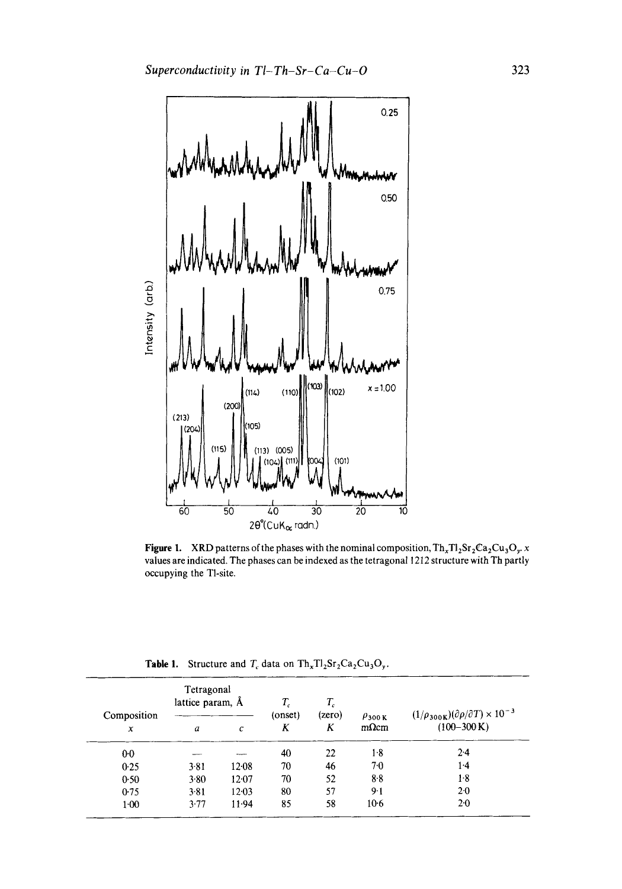

**Figure 1.** XRD patterns of the phases with the nominal composition,  $Th_xT_2Sr_2Ca_2Cu_3O_y$ , x values are indicated. The phases can be indexed as the tetragonal 1212 structure with Th partly occupying the Tl-site.

| <b>Table 1.</b> Structure and $T_c$ data on $Th_xTl_2Sr_2Ca_2Cu_3O_y$ . |  |  |  |
|-------------------------------------------------------------------------|--|--|--|
|-------------------------------------------------------------------------|--|--|--|

| Composition<br>$\boldsymbol{x}$ | Tetragonal<br>lattice param, A |           | $T_c$        | $T_c$       |                                | $(1/\rho_{300\mathrm{K}})(\partial \rho/\partial T) \times 10^{-3}$ |
|---------------------------------|--------------------------------|-----------|--------------|-------------|--------------------------------|---------------------------------------------------------------------|
|                                 | a                              | с         | (onset)<br>K | (zero)<br>K | $\rho_{300 K}$<br>$m\Omega$ cm | $(100-300 \text{ K})$                                               |
| $0-0$                           |                                | ----      | 40           | 22          | $1-8$                          | $2-4$                                                               |
| 0.25                            | $3 - 81$                       | $12 - 08$ | 70           | 46          | 70                             | 1.4                                                                 |
| 0.50                            | 3.80                           | 12.07     | 70           | 52          | 8.8                            | $1-8$                                                               |
| 0.75                            | 3.81                           | $12 - 03$ | 80           | 57          | $9-1$                          | $2 - 0$                                                             |
| $1 - 00$                        | 3.77                           | 11.94     | 85           | 58          | $10-6$                         | 2.0                                                                 |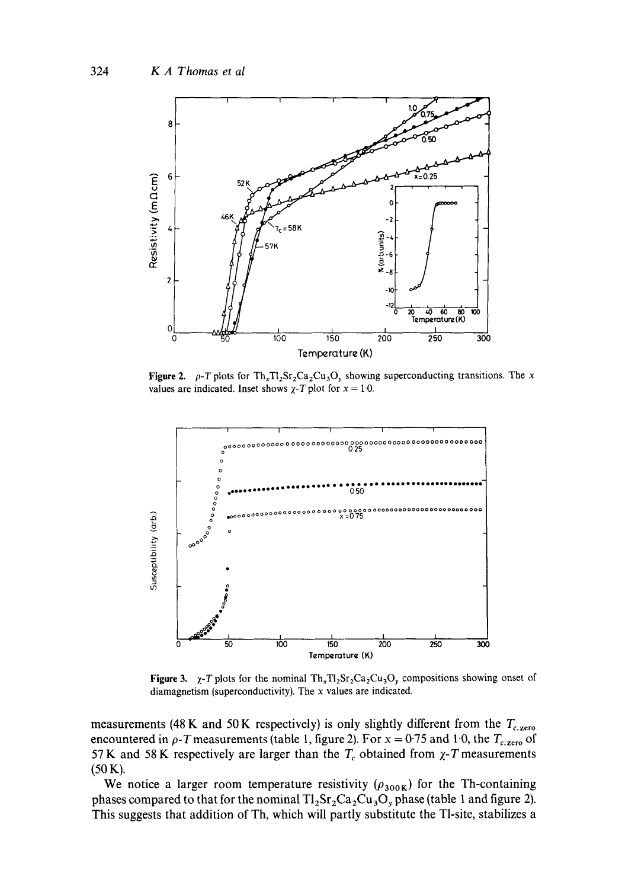

**Figure 2.**  $\rho$ -T plots for Th<sub>x</sub>Tl<sub>2</sub>Sr<sub>2</sub>Ca<sub>2</sub>Cu<sub>3</sub>O<sub>y</sub> showing superconducting transitions. The *x* values are indicated. Inset shows  $\chi$ -T plot for  $x = 1.0$ .



**Figure 3.**  $\chi$ -T plots for the nominal Th<sub>x</sub>Tl<sub>2</sub>Sr<sub>2</sub>Ca<sub>2</sub>Cu<sub>3</sub>O<sub>y</sub> compositions showing onset of **diamagnetism (superconductivity). The x values are indicated.** 

measurements (48 K and 50 K respectively) is only slightly different from the  $T_{c,\text{zero}}$ encountered in  $\rho$ -*T* measurements (table 1, figure 2). For  $x = 0.75$  and 1.0, the  $T_{c,\text{zero}}$  of 57 K and 58 K respectively are larger than the  $T_c$  obtained from  $\chi$ -T measurements (50 K).

We notice a larger room temperature resistivity  $(\rho_{300K})$  for the Th-containing phases compared to that for the nominal  $Tl_2Sr_2Ca_2Cu_3O_p$  phase (table 1 and figure 2). **This suggests that addition of Th, which will partly substitute the Tl-site, stabilizes a**